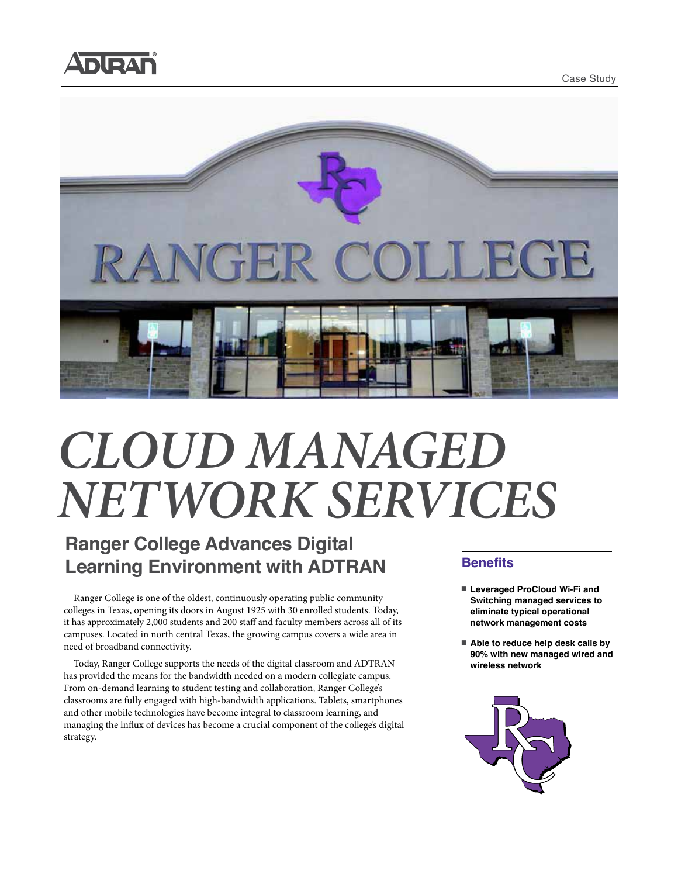





# *CLOUD MANAGED NETWORK SERVICES*

# **Ranger College Advances Digital Learning Environment with ADTRAN**

Ranger College is one of the oldest, continuously operating public community colleges in Texas, opening its doors in August 1925 with 30 enrolled students. Today, it has approximately 2,000 students and 200 staff and faculty members across all of its campuses. Located in north central Texas, the growing campus covers a wide area in need of broadband connectivity.

Today, Ranger College supports the needs of the digital classroom and ADTRAN has provided the means for the bandwidth needed on a modern collegiate campus. From on-demand learning to student testing and collaboration, Ranger College's classrooms are fully engaged with high-bandwidth applications. Tablets, smartphones and other mobile technologies have become integral to classroom learning, and managing the influx of devices has become a crucial component of the college's digital strategy.

### **Benefits**

- Leveraged ProCloud Wi-Fi and **Switching managed services to eliminate typical operational network management costs**
- Able to reduce help desk calls by **90% with new managed wired and wireless network**

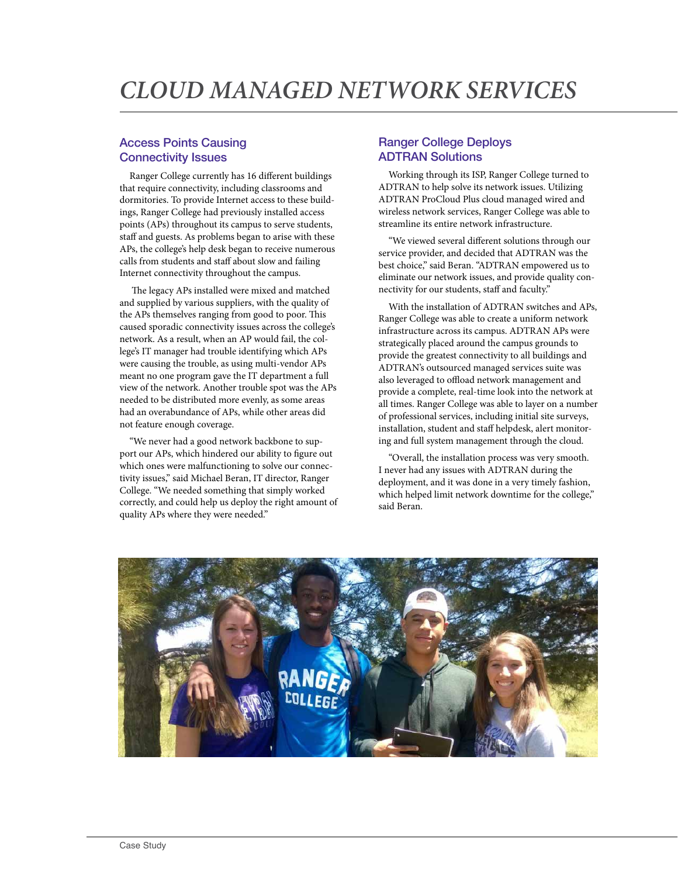#### Access Points Causing Connectivity Issues

Ranger College currently has 16 different buildings that require connectivity, including classrooms and dormitories. To provide Internet access to these buildings, Ranger College had previously installed access points (APs) throughout its campus to serve students, staff and guests. As problems began to arise with these APs, the college's help desk began to receive numerous calls from students and staff about slow and failing Internet connectivity throughout the campus.

 The legacy APs installed were mixed and matched and supplied by various suppliers, with the quality of the APs themselves ranging from good to poor. This caused sporadic connectivity issues across the college's network. As a result, when an AP would fail, the college's IT manager had trouble identifying which APs were causing the trouble, as using multi-vendor APs meant no one program gave the IT department a full view of the network. Another trouble spot was the APs needed to be distributed more evenly, as some areas had an overabundance of APs, while other areas did not feature enough coverage.

"We never had a good network backbone to support our APs, which hindered our ability to figure out which ones were malfunctioning to solve our connectivity issues," said Michael Beran, IT director, Ranger College. "We needed something that simply worked correctly, and could help us deploy the right amount of quality APs where they were needed."

#### Ranger College Deploys ADTRAN Solutions

Working through its ISP, Ranger College turned to ADTRAN to help solve its network issues. Utilizing ADTRAN ProCloud Plus cloud managed wired and wireless network services, Ranger College was able to streamline its entire network infrastructure.

"We viewed several different solutions through our service provider, and decided that ADTRAN was the best choice," said Beran. "ADTRAN empowered us to eliminate our network issues, and provide quality connectivity for our students, staff and faculty."

With the installation of ADTRAN switches and APs, Ranger College was able to create a uniform network infrastructure across its campus. ADTRAN APs were strategically placed around the campus grounds to provide the greatest connectivity to all buildings and ADTRAN's outsourced managed services suite was also leveraged to offload network management and provide a complete, real-time look into the network at all times. Ranger College was able to layer on a number of professional services, including initial site surveys, installation, student and staff helpdesk, alert monitoring and full system management through the cloud.

"Overall, the installation process was very smooth. I never had any issues with ADTRAN during the deployment, and it was done in a very timely fashion, which helped limit network downtime for the college," said Beran.

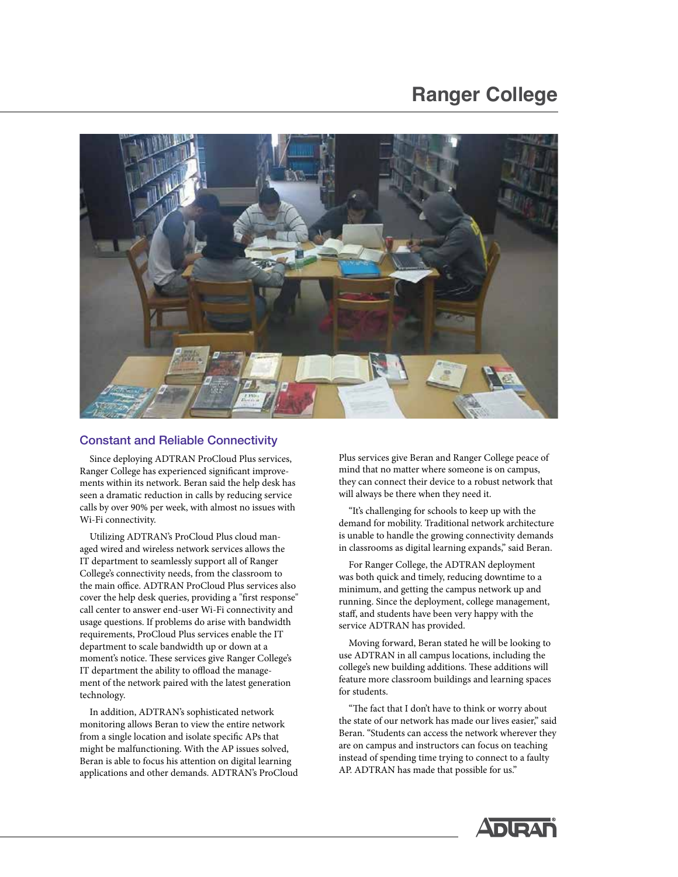## **Ranger College**



#### Constant and Reliable Connectivity

Since deploying ADTRAN ProCloud Plus services, Ranger College has experienced significant improvements within its network. Beran said the help desk has seen a dramatic reduction in calls by reducing service calls by over 90% per week, with almost no issues with Wi-Fi connectivity.

Utilizing ADTRAN's ProCloud Plus cloud managed wired and wireless network services allows the IT department to seamlessly support all of Ranger College's connectivity needs, from the classroom to the main office. ADTRAN ProCloud Plus services also cover the help desk queries, providing a "first response" call center to answer end-user Wi-Fi connectivity and usage questions. If problems do arise with bandwidth requirements, ProCloud Plus services enable the IT department to scale bandwidth up or down at a moment's notice. These services give Ranger College's IT department the ability to offload the management of the network paired with the latest generation technology.

In addition, ADTRAN's sophisticated network monitoring allows Beran to view the entire network from a single location and isolate specific APs that might be malfunctioning. With the AP issues solved, Beran is able to focus his attention on digital learning applications and other demands. ADTRAN's ProCloud Plus services give Beran and Ranger College peace of mind that no matter where someone is on campus, they can connect their device to a robust network that will always be there when they need it.

"It's challenging for schools to keep up with the demand for mobility. Traditional network architecture is unable to handle the growing connectivity demands in classrooms as digital learning expands," said Beran.

For Ranger College, the ADTRAN deployment was both quick and timely, reducing downtime to a minimum, and getting the campus network up and running. Since the deployment, college management, staff, and students have been very happy with the service ADTRAN has provided.

Moving forward, Beran stated he will be looking to use ADTRAN in all campus locations, including the college's new building additions. These additions will feature more classroom buildings and learning spaces for students.

"The fact that I don't have to think or worry about the state of our network has made our lives easier," said Beran. "Students can access the network wherever they are on campus and instructors can focus on teaching instead of spending time trying to connect to a faulty AP. ADTRAN has made that possible for us."